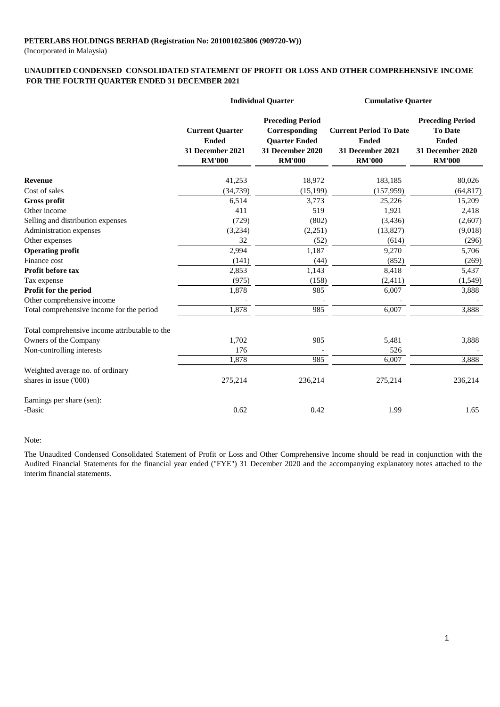(Incorporated in Malaysia)

### **UNAUDITED CONDENSED CONSOLIDATED STATEMENT OF PROFIT OR LOSS AND OTHER COMPREHENSIVE INCOME FOR THE FOURTH QUARTER ENDED 31 DECEMBER 2021**

|                                                | <b>Individual Quarter</b>                                                   |                                                                                                       | <b>Cumulative Quarter</b>                                                          |                                                                                                |
|------------------------------------------------|-----------------------------------------------------------------------------|-------------------------------------------------------------------------------------------------------|------------------------------------------------------------------------------------|------------------------------------------------------------------------------------------------|
|                                                | <b>Current Quarter</b><br><b>Ended</b><br>31 December 2021<br><b>RM'000</b> | <b>Preceding Period</b><br>Corresponding<br><b>Quarter Ended</b><br>31 December 2020<br><b>RM'000</b> | <b>Current Period To Date</b><br><b>Ended</b><br>31 December 2021<br><b>RM'000</b> | <b>Preceding Period</b><br><b>To Date</b><br><b>Ended</b><br>31 December 2020<br><b>RM'000</b> |
| <b>Revenue</b>                                 | 41,253                                                                      | 18,972                                                                                                | 183,185                                                                            | 80,026                                                                                         |
| Cost of sales                                  | (34, 739)                                                                   | (15, 199)                                                                                             | (157, 959)                                                                         | (64, 817)                                                                                      |
| Gross profit                                   | 6,514                                                                       | 3,773                                                                                                 | 25,226                                                                             | 15,209                                                                                         |
| Other income                                   | 411                                                                         | 519                                                                                                   | 1,921                                                                              | 2,418                                                                                          |
| Selling and distribution expenses              | (729)                                                                       | (802)                                                                                                 | (3, 436)                                                                           | (2,607)                                                                                        |
| Administration expenses                        | (3,234)                                                                     | (2,251)                                                                                               | (13,827)                                                                           | (9,018)                                                                                        |
| Other expenses                                 | 32                                                                          | (52)                                                                                                  | (614)                                                                              | (296)                                                                                          |
| <b>Operating profit</b>                        | 2,994                                                                       | 1,187                                                                                                 | 9,270                                                                              | 5,706                                                                                          |
| Finance cost                                   | (141)                                                                       | (44)                                                                                                  | (852)                                                                              | (269)                                                                                          |
| <b>Profit before tax</b>                       | 2,853                                                                       | 1,143                                                                                                 | 8,418                                                                              | 5,437                                                                                          |
| Tax expense                                    | (975)                                                                       | (158)                                                                                                 | (2, 411)                                                                           | (1,549)                                                                                        |
| Profit for the period                          | 1,878                                                                       | 985                                                                                                   | 6,007                                                                              | 3,888                                                                                          |
| Other comprehensive income                     |                                                                             |                                                                                                       |                                                                                    |                                                                                                |
| Total comprehensive income for the period      | 1,878                                                                       | 985                                                                                                   | 6,007                                                                              | 3,888                                                                                          |
| Total comprehensive income attributable to the |                                                                             |                                                                                                       |                                                                                    |                                                                                                |
| Owners of the Company                          | 1,702                                                                       | 985                                                                                                   | 5,481                                                                              | 3,888                                                                                          |
| Non-controlling interests                      | 176                                                                         |                                                                                                       | 526                                                                                |                                                                                                |
|                                                | 1,878                                                                       | 985                                                                                                   | 6,007                                                                              | 3,888                                                                                          |
| Weighted average no. of ordinary               |                                                                             |                                                                                                       |                                                                                    |                                                                                                |
| shares in issue ('000)                         | 275,214                                                                     | 236,214                                                                                               | 275,214                                                                            | 236,214                                                                                        |
| Earnings per share (sen):                      |                                                                             |                                                                                                       |                                                                                    |                                                                                                |
| -Basic                                         | 0.62                                                                        | 0.42                                                                                                  | 1.99                                                                               | 1.65                                                                                           |

#### Note:

The Unaudited Condensed Consolidated Statement of Profit or Loss and Other Comprehensive Income should be read in conjunction with the Audited Financial Statements for the financial year ended ("FYE") 31 December 2020 and the accompanying explanatory notes attached to the interim financial statements.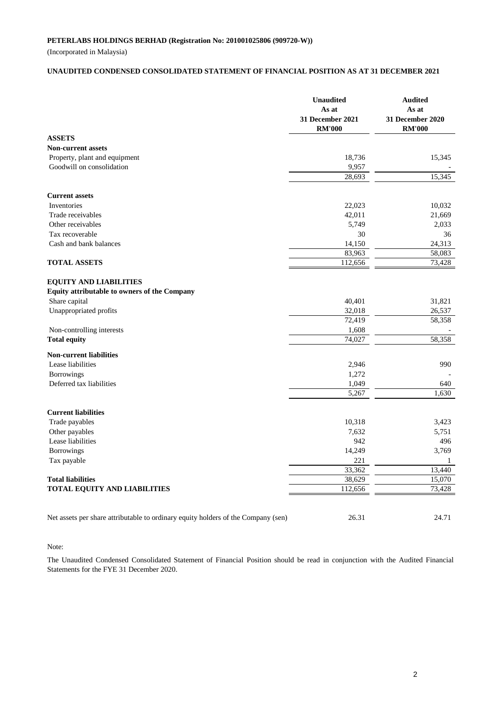(Incorporated in Malaysia)

#### **UNAUDITED CONDENSED CONSOLIDATED STATEMENT OF FINANCIAL POSITION AS AT 31 DECEMBER 2021**

|                                                                                   | <b>Unaudited</b><br>As at<br>31 December 2021<br><b>RM'000</b> | <b>Audited</b><br>As at<br>31 December 2020<br><b>RM'000</b> |
|-----------------------------------------------------------------------------------|----------------------------------------------------------------|--------------------------------------------------------------|
| <b>ASSETS</b>                                                                     |                                                                |                                                              |
| <b>Non-current assets</b>                                                         |                                                                |                                                              |
| Property, plant and equipment                                                     | 18,736                                                         | 15,345                                                       |
| Goodwill on consolidation                                                         | 9,957                                                          |                                                              |
|                                                                                   | 28,693                                                         | 15,345                                                       |
| <b>Current assets</b>                                                             |                                                                |                                                              |
| Inventories                                                                       | 22,023                                                         | 10,032                                                       |
| Trade receivables                                                                 | 42,011                                                         | 21,669                                                       |
| Other receivables                                                                 | 5,749                                                          | 2,033                                                        |
| Tax recoverable                                                                   | 30                                                             | 36                                                           |
| Cash and bank balances                                                            | 14,150                                                         | 24,313                                                       |
|                                                                                   | 83,963                                                         | 58,083                                                       |
| <b>TOTAL ASSETS</b>                                                               | 112,656                                                        | 73,428                                                       |
| <b>EQUITY AND LIABILITIES</b>                                                     |                                                                |                                                              |
| Equity attributable to owners of the Company                                      |                                                                |                                                              |
| Share capital                                                                     | 40,401                                                         | 31,821                                                       |
| Unappropriated profits                                                            | 32,018                                                         | 26,537                                                       |
| Non-controlling interests                                                         | 72,419<br>1,608                                                | 58,358                                                       |
| <b>Total equity</b>                                                               | 74,027                                                         | 58,358                                                       |
|                                                                                   |                                                                |                                                              |
| <b>Non-current liabilities</b>                                                    |                                                                |                                                              |
| Lease liabilities                                                                 | 2,946                                                          | 990                                                          |
| Borrowings                                                                        | 1,272                                                          |                                                              |
| Deferred tax liabilities                                                          | 1,049                                                          | 640                                                          |
|                                                                                   | 5,267                                                          | 1,630                                                        |
| <b>Current liabilities</b>                                                        |                                                                |                                                              |
| Trade payables                                                                    | 10,318                                                         | 3,423                                                        |
| Other payables                                                                    | 7,632                                                          | 5,751                                                        |
| Lease liabilities                                                                 | 942                                                            | 496                                                          |
| Borrowings                                                                        | 14,249                                                         | 3,769                                                        |
| Tax payable                                                                       | 221                                                            | 1                                                            |
|                                                                                   | 33,362                                                         | 13,440                                                       |
| <b>Total liabilities</b>                                                          | 38,629                                                         | 15,070                                                       |
| TOTAL EQUITY AND LIABILITIES                                                      | 112,656                                                        | 73,428                                                       |
|                                                                                   |                                                                |                                                              |
| Net assets per share attributable to ordinary equity holders of the Company (sen) | 26.31                                                          | 24.71                                                        |

#### Note:

The Unaudited Condensed Consolidated Statement of Financial Position should be read in conjunction with the Audited Financial Statements for the FYE 31 December 2020.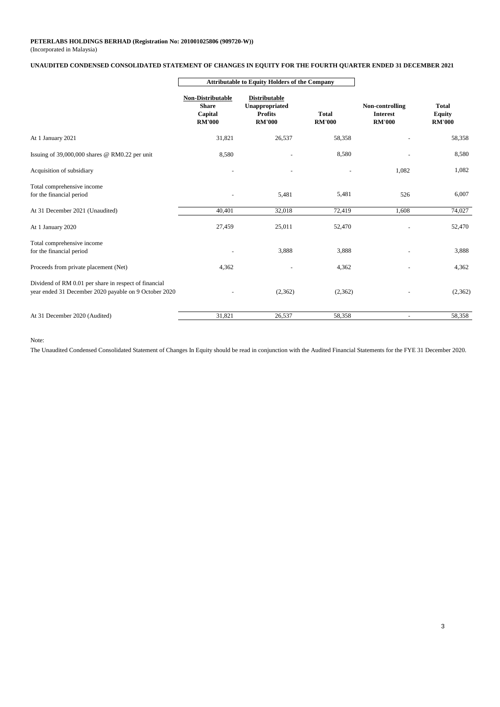#### (Incorporated in Malaysia) **PETERLABS HOLDINGS BERHAD (Registration No: 201001025806 (909720-W))**

#### **UNAUDITED CONDENSED CONSOLIDATED STATEMENT OF CHANGES IN EQUITY FOR THE FOURTH QUARTER ENDED 31 DECEMBER 2021**

|                                                                                                                | <b>Attributable to Equity Holders of the Company</b>          |                                                                           |                               |                                                     |                                                |
|----------------------------------------------------------------------------------------------------------------|---------------------------------------------------------------|---------------------------------------------------------------------------|-------------------------------|-----------------------------------------------------|------------------------------------------------|
|                                                                                                                | Non-Distributable<br><b>Share</b><br>Capital<br><b>RM'000</b> | <b>Distributable</b><br>Unappropriated<br><b>Profits</b><br><b>RM'000</b> | <b>Total</b><br><b>RM'000</b> | Non-controlling<br><b>Interest</b><br><b>RM'000</b> | <b>Total</b><br><b>Equity</b><br><b>RM'000</b> |
| At 1 January 2021                                                                                              | 31,821                                                        | 26,537                                                                    | 58,358                        |                                                     | 58,358                                         |
| Issuing of 39,000,000 shares @ RM0.22 per unit                                                                 | 8,580                                                         |                                                                           | 8,580                         |                                                     | 8,580                                          |
| Acquisition of subsidiary                                                                                      |                                                               | ٠                                                                         |                               | 1,082                                               | 1,082                                          |
| Total comprehensive income<br>for the financial period                                                         |                                                               | 5,481                                                                     | 5,481                         | 526                                                 | 6,007                                          |
| At 31 December 2021 (Unaudited)                                                                                | 40,401                                                        | 32,018                                                                    | 72,419                        | 1.608                                               | 74,027                                         |
| At 1 January 2020                                                                                              | 27,459                                                        | 25,011                                                                    | 52,470                        |                                                     | 52,470                                         |
| Total comprehensive income<br>for the financial period                                                         |                                                               | 3,888                                                                     | 3,888                         |                                                     | 3,888                                          |
| Proceeds from private placement (Net)                                                                          | 4,362                                                         |                                                                           | 4,362                         |                                                     | 4,362                                          |
| Dividend of RM 0.01 per share in respect of financial<br>year ended 31 December 2020 payable on 9 October 2020 |                                                               | (2,362)                                                                   | (2,362)                       |                                                     | (2,362)                                        |
| At 31 December 2020 (Audited)                                                                                  | 31,821                                                        | 26,537                                                                    | 58,358                        | ٠                                                   | 58,358                                         |

Note:

The Unaudited Condensed Consolidated Statement of Changes In Equity should be read in conjunction with the Audited Financial Statements for the FYE 31 December 2020.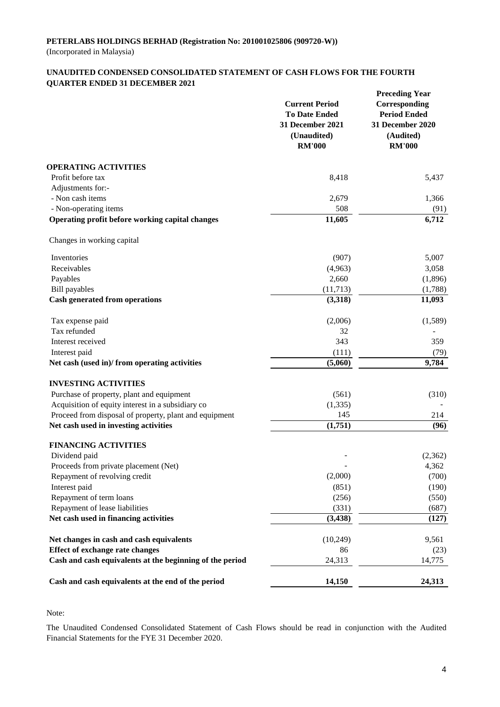### **UNAUDITED CONDENSED CONSOLIDATED STATEMENT OF CASH FLOWS FOR THE FOURTH QUARTER ENDED 31 DECEMBER 2021**

|                                                          | <b>Current Period</b><br><b>To Date Ended</b><br>31 December 2021<br>(Unaudited)<br><b>RM'000</b> | <b>Preceding Year</b><br>Corresponding<br><b>Period Ended</b><br>31 December 2020<br>(Audited)<br><b>RM'000</b> |
|----------------------------------------------------------|---------------------------------------------------------------------------------------------------|-----------------------------------------------------------------------------------------------------------------|
| <b>OPERATING ACTIVITIES</b>                              |                                                                                                   |                                                                                                                 |
| Profit before tax                                        | 8,418                                                                                             | 5,437                                                                                                           |
| Adjustments for:-                                        |                                                                                                   |                                                                                                                 |
| - Non cash items                                         | 2,679                                                                                             | 1,366                                                                                                           |
| - Non-operating items                                    | 508                                                                                               | (91)                                                                                                            |
| Operating profit before working capital changes          | 11,605                                                                                            | 6,712                                                                                                           |
| Changes in working capital                               |                                                                                                   |                                                                                                                 |
| Inventories                                              | (907)                                                                                             | 5,007                                                                                                           |
| Receivables                                              | (4,963)                                                                                           | 3,058                                                                                                           |
| Payables                                                 | 2,660                                                                                             | (1,896)                                                                                                         |
| <b>Bill</b> payables                                     | (11,713)                                                                                          | (1,788)                                                                                                         |
| <b>Cash generated from operations</b>                    | (3,318)                                                                                           | 11,093                                                                                                          |
| Tax expense paid                                         | (2,006)                                                                                           | (1,589)                                                                                                         |
| Tax refunded                                             | 32                                                                                                |                                                                                                                 |
| Interest received                                        | 343                                                                                               | 359                                                                                                             |
| Interest paid                                            | (111)                                                                                             | (79)                                                                                                            |
| Net cash (used in)/from operating activities             | (5,060)                                                                                           | 9,784                                                                                                           |
| <b>INVESTING ACTIVITIES</b>                              |                                                                                                   |                                                                                                                 |
| Purchase of property, plant and equipment                | (561)                                                                                             | (310)                                                                                                           |
| Acquisition of equity interest in a subsidiary co        | (1, 335)                                                                                          |                                                                                                                 |
| Proceed from disposal of property, plant and equipment   | 145                                                                                               | 214                                                                                                             |
| Net cash used in investing activities                    | (1,751)                                                                                           | (96)                                                                                                            |
| <b>FINANCING ACTIVITIES</b>                              |                                                                                                   |                                                                                                                 |
| Dividend paid                                            |                                                                                                   | (2,362)                                                                                                         |
| Proceeds from private placement (Net)                    |                                                                                                   | 4,362                                                                                                           |
| Repayment of revolving credit                            | (2,000)                                                                                           | (700)                                                                                                           |
| Interest paid                                            | (851)                                                                                             | (190)                                                                                                           |
| Repayment of term loans                                  | (256)                                                                                             | (550)                                                                                                           |
| Repayment of lease liabilities                           | (331)                                                                                             | (687)                                                                                                           |
| Net cash used in financing activities                    | (3, 438)                                                                                          | (127)                                                                                                           |
| Net changes in cash and cash equivalents                 | (10,249)                                                                                          | 9,561                                                                                                           |
| <b>Effect of exchange rate changes</b>                   | 86                                                                                                | (23)                                                                                                            |
| Cash and cash equivalents at the beginning of the period | 24,313                                                                                            | 14,775                                                                                                          |
| Cash and cash equivalents at the end of the period       | 14,150                                                                                            | 24,313                                                                                                          |

# Note:

The Unaudited Condensed Consolidated Statement of Cash Flows should be read in conjunction with the Audited Financial Statements for the FYE 31 December 2020.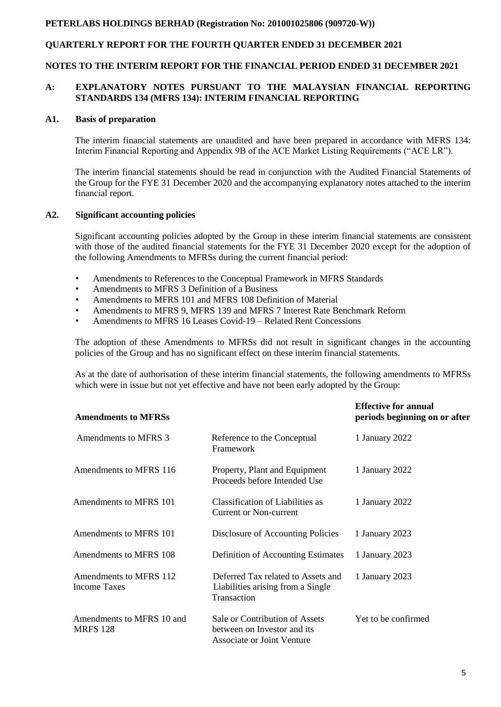# **QUARTERLY REPORT FOR THE FOURTH QUARTER ENDED 31 DECEMBER 2021**

### **NOTES TO THE INTERIM REPORT FOR THE FINANCIAL PERIOD ENDED 31 DECEMBER 2021**

### **A: EXPLANATORY NOTES PURSUANT TO THE MALAYSIAN FINANCIAL REPORTING STANDARDS 134 (MFRS 134): INTERIM FINANCIAL REPORTING**

### **A1. Basis of preparation**

The interim financial statements are unaudited and have been prepared in accordance with MFRS 134: Interim Financial Reporting and Appendix 9B of the ACE Market Listing Requirements ("ACE LR").

The interim financial statements should be read in conjunction with the Audited Financial Statements of the Group for the FYE 31 December 2020 and the accompanying explanatory notes attached to the interim financial report.

### **A2. Significant accounting policies**

Significant accounting policies adopted by the Group in these interim financial statements are consistent with those of the audited financial statements for the FYE 31 December 2020 except for the adoption of the following Amendments to MFRSs during the current financial period:

- Amendments to References to the Conceptual Framework in MFRS Standards
- Amendments to MFRS 3 Definition of a Business
- Amendments to MFRS 101 and MFRS 108 Definition of Material
- Amendments to MFRS 9, MFRS 139 and MFRS 7 Interest Rate Benchmark Reform
- Amendments to MFRS 16 Leases Covid-19 Related Rent Concessions

The adoption of these Amendments to MFRSs did not result in significant changes in the accounting policies of the Group and has no significant effect on these interim financial statements.

As at the date of authorisation of these interim financial statements, the following amendments to MFRSs which were in issue but not yet effective and have not been early adopted by the Group:

| <b>Amendments to MFRSs</b>                    |                                                                                             | <b>Effective for annual</b><br>periods beginning on or after |
|-----------------------------------------------|---------------------------------------------------------------------------------------------|--------------------------------------------------------------|
| Amendments to MFRS 3                          | Reference to the Conceptual<br>Framework                                                    | 1 January 2022                                               |
| Amendments to MFRS 116                        | Property, Plant and Equipment<br>Proceeds before Intended Use                               | 1 January 2022                                               |
| Amendments to MFRS 101                        | Classification of Liabilities as<br><b>Current or Non-current</b>                           | 1 January 2022                                               |
| Amendments to MFRS 101                        | Disclosure of Accounting Policies                                                           | 1 January 2023                                               |
| Amendments to MFRS 108                        | Definition of Accounting Estimates                                                          | 1 January 2023                                               |
| Amendments to MFRS 112<br><b>Income Taxes</b> | Deferred Tax related to Assets and<br>Liabilities arising from a Single<br>Transaction      | 1 January 2023                                               |
| Amendments to MFRS 10 and<br><b>MRFS 128</b>  | Sale or Contribution of Assets<br>between on Investor and its<br>Associate or Joint Venture | Yet to be confirmed                                          |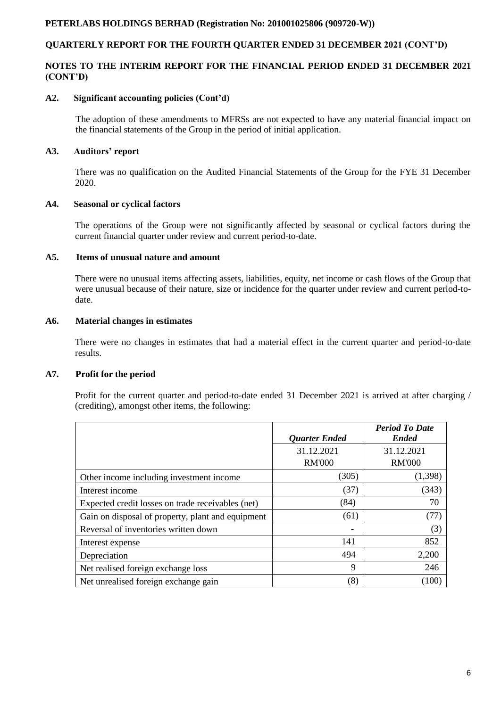# **QUARTERLY REPORT FOR THE FOURTH QUARTER ENDED 31 DECEMBER 2021 (CONT'D)**

# **NOTES TO THE INTERIM REPORT FOR THE FINANCIAL PERIOD ENDED 31 DECEMBER 2021 (CONT'D)**

## **A2. Significant accounting policies (Cont'd)**

The adoption of these amendments to MFRSs are not expected to have any material financial impact on the financial statements of the Group in the period of initial application.

# **A3. Auditors' report**

There was no qualification on the Audited Financial Statements of the Group for the FYE 31 December 2020.

# **A4. Seasonal or cyclical factors**

The operations of the Group were not significantly affected by seasonal or cyclical factors during the current financial quarter under review and current period-to-date.

# **A5. Items of unusual nature and amount**

There were no unusual items affecting assets, liabilities, equity, net income or cash flows of the Group that were unusual because of their nature, size or incidence for the quarter under review and current period-todate.

# **A6. Material changes in estimates**

There were no changes in estimates that had a material effect in the current quarter and period-to-date results.

### **A7. Profit for the period**

Profit for the current quarter and period-to-date ended 31 December 2021 is arrived at after charging / (crediting), amongst other items, the following:

|                                                   | <b>Ouarter Ended</b> | <b>Period To Date</b><br><b>Ended</b> |
|---------------------------------------------------|----------------------|---------------------------------------|
|                                                   | 31.12.2021           | 31.12.2021                            |
|                                                   | <b>RM'000</b>        | <b>RM'000</b>                         |
| Other income including investment income          | (305)                | (1,398)                               |
| Interest income                                   | (37)                 | (343)                                 |
| Expected credit losses on trade receivables (net) | (84)                 | 70                                    |
| Gain on disposal of property, plant and equipment | (61)                 | (77)                                  |
| Reversal of inventories written down              |                      | (3)                                   |
| Interest expense                                  | 141                  | 852                                   |
| Depreciation                                      | 494                  | 2,200                                 |
| Net realised foreign exchange loss                | 9                    | 246                                   |
| Net unrealised foreign exchange gain              | (8)                  | (100)                                 |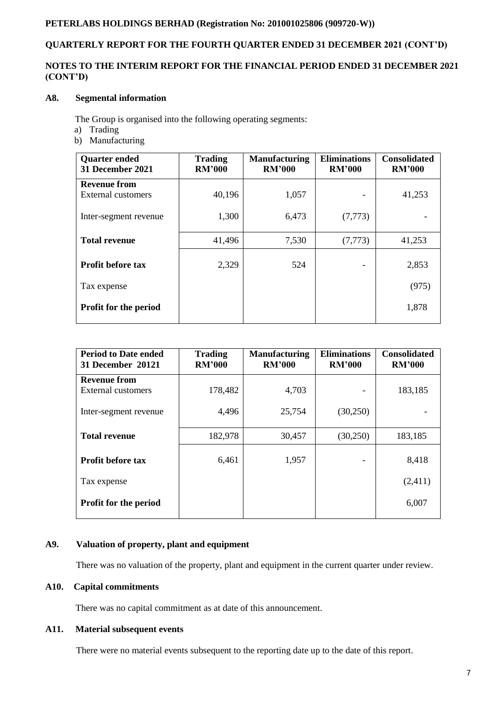# **QUARTERLY REPORT FOR THE FOURTH QUARTER ENDED 31 DECEMBER 2021 (CONT'D)**

# **NOTES TO THE INTERIM REPORT FOR THE FINANCIAL PERIOD ENDED 31 DECEMBER 2021 (CONT'D)**

# **A8. Segmental information**

The Group is organised into the following operating segments:

- a) Trading
- b) Manufacturing

| <b>Quarter ended</b><br>31 December 2021 | <b>Trading</b><br><b>RM'000</b> | <b>Manufacturing</b><br><b>RM'000</b> | <b>Eliminations</b><br><b>RM'000</b> | <b>Consolidated</b><br><b>RM'000</b> |
|------------------------------------------|---------------------------------|---------------------------------------|--------------------------------------|--------------------------------------|
| <b>Revenue from</b>                      |                                 |                                       |                                      |                                      |
| <b>External customers</b>                | 40,196                          | 1,057                                 |                                      | 41,253                               |
| Inter-segment revenue                    | 1,300                           | 6,473                                 | (7, 773)                             |                                      |
| <b>Total revenue</b>                     | 41,496                          | 7,530                                 | (7, 773)                             | 41,253                               |
| <b>Profit before tax</b>                 | 2,329                           | 524                                   |                                      | 2,853                                |
| Tax expense                              |                                 |                                       |                                      | (975)                                |
| <b>Profit for the period</b>             |                                 |                                       |                                      | 1,878                                |

| <b>Period to Date ended</b><br><b>31 December 20121</b> | <b>Trading</b><br><b>RM'000</b> | <b>Manufacturing</b><br><b>RM'000</b> | <b>Eliminations</b><br><b>RM'000</b> | <b>Consolidated</b><br><b>RM'000</b> |
|---------------------------------------------------------|---------------------------------|---------------------------------------|--------------------------------------|--------------------------------------|
| <b>Revenue from</b>                                     |                                 |                                       |                                      |                                      |
| External customers                                      | 178,482                         | 4,703                                 |                                      | 183,185                              |
| Inter-segment revenue                                   | 4,496                           | 25,754                                | (30,250)                             |                                      |
| <b>Total revenue</b>                                    | 182,978                         | 30,457                                | (30,250)                             | 183,185                              |
| <b>Profit before tax</b>                                | 6,461                           | 1,957                                 |                                      | 8,418                                |
| Tax expense                                             |                                 |                                       |                                      | (2,411)                              |
| <b>Profit for the period</b>                            |                                 |                                       |                                      | 6,007                                |

### **A9. Valuation of property, plant and equipment**

There was no valuation of the property, plant and equipment in the current quarter under review.

### **A10. Capital commitments**

There was no capital commitment as at date of this announcement.

# **A11. Material subsequent events**

There were no material events subsequent to the reporting date up to the date of this report.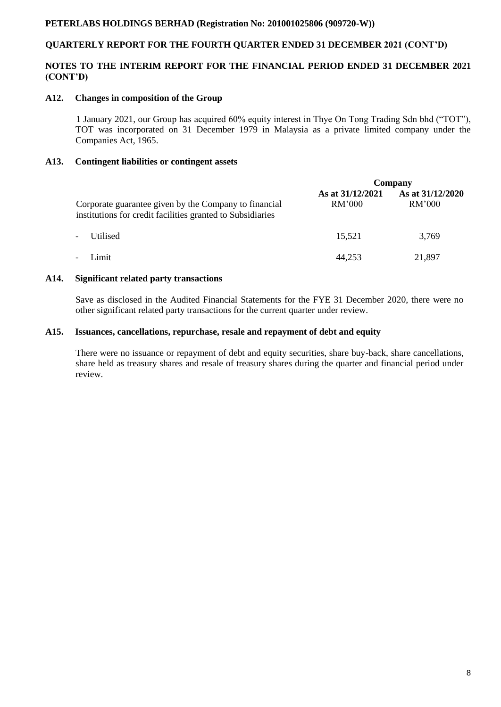# **QUARTERLY REPORT FOR THE FOURTH QUARTER ENDED 31 DECEMBER 2021 (CONT'D)**

# **NOTES TO THE INTERIM REPORT FOR THE FINANCIAL PERIOD ENDED 31 DECEMBER 2021 (CONT'D)**

### **A12. Changes in composition of the Group**

 1 January 2021, our Group has acquired 60% equity interest in Thye On Tong Trading Sdn bhd ("TOT"), TOT was incorporated on 31 December 1979 in Malaysia as a private limited company under the Companies Act, 1965.

# **A13. Contingent liabilities or contingent assets**

|                                                                                                                     | Company                    |                            |  |
|---------------------------------------------------------------------------------------------------------------------|----------------------------|----------------------------|--|
| Corporate guarantee given by the Company to financial<br>institutions for credit facilities granted to Subsidiaries | As at 31/12/2021<br>RM'000 | As at 31/12/2020<br>RM'000 |  |
| Utilised<br>$\blacksquare$                                                                                          | 15,521                     | 3,769                      |  |
| Limit<br>$\overline{\phantom{a}}$                                                                                   | 44,253                     | 21,897                     |  |

### **A14. Significant related party transactions**

Save as disclosed in the Audited Financial Statements for the FYE 31 December 2020, there were no other significant related party transactions for the current quarter under review.

### **A15. Issuances, cancellations, repurchase, resale and repayment of debt and equity**

There were no issuance or repayment of debt and equity securities, share buy-back, share cancellations, share held as treasury shares and resale of treasury shares during the quarter and financial period under review.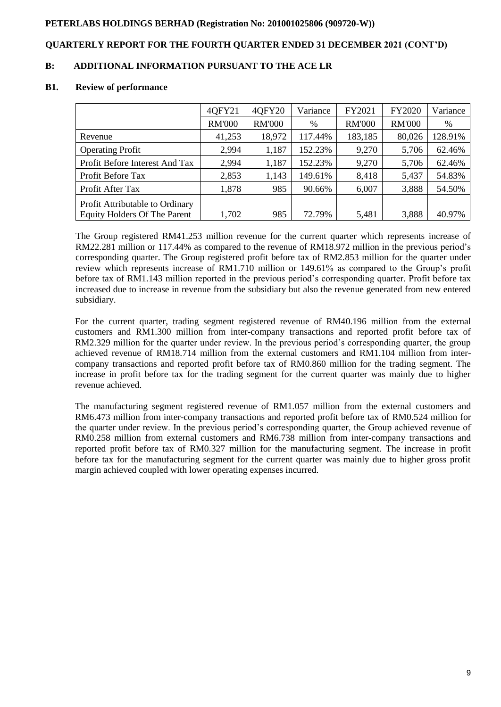# **QUARTERLY REPORT FOR THE FOURTH QUARTER ENDED 31 DECEMBER 2021 (CONT'D)**

# **B: ADDITIONAL INFORMATION PURSUANT TO THE ACE LR**

#### **B1. Review of performance**

|                                     | 40FY21        | 40FY20        | Variance | FY2021        | FY2020        | Variance |
|-------------------------------------|---------------|---------------|----------|---------------|---------------|----------|
|                                     | <b>RM'000</b> | <b>RM'000</b> | %        | <b>RM'000</b> | <b>RM'000</b> | %        |
| Revenue                             | 41,253        | 18,972        | 117.44%  | 183,185       | 80,026        | 128.91%  |
| <b>Operating Profit</b>             | 2,994         | 1,187         | 152.23%  | 9,270         | 5,706         | 62.46%   |
| Profit Before Interest And Tax      | 2,994         | 1,187         | 152.23%  | 9,270         | 5,706         | 62.46%   |
| Profit Before Tax                   | 2,853         | 1,143         | 149.61%  | 8,418         | 5,437         | 54.83%   |
| Profit After Tax                    | 1,878         | 985           | 90.66%   | 6,007         | 3,888         | 54.50%   |
| Profit Attributable to Ordinary     |               |               |          |               |               |          |
| <b>Equity Holders Of The Parent</b> | 1,702         | 985           | 72.79%   | 5,481         | 3,888         | 40.97%   |

The Group registered RM41.253 million revenue for the current quarter which represents increase of RM22.281 million or 117.44% as compared to the revenue of RM18.972 million in the previous period's corresponding quarter. The Group registered profit before tax of RM2.853 million for the quarter under review which represents increase of RM1.710 million or 149.61% as compared to the Group's profit before tax of RM1.143 million reported in the previous period's corresponding quarter. Profit before tax increased due to increase in revenue from the subsidiary but also the revenue generated from new entered subsidiary.

For the current quarter, trading segment registered revenue of RM40.196 million from the external customers and RM1.300 million from inter-company transactions and reported profit before tax of RM2.329 million for the quarter under review. In the previous period's corresponding quarter, the group achieved revenue of RM18.714 million from the external customers and RM1.104 million from intercompany transactions and reported profit before tax of RM0.860 million for the trading segment. The increase in profit before tax for the trading segment for the current quarter was mainly due to higher revenue achieved.

The manufacturing segment registered revenue of RM1.057 million from the external customers and RM6.473 million from inter-company transactions and reported profit before tax of RM0.524 million for the quarter under review. In the previous period's corresponding quarter, the Group achieved revenue of RM0.258 million from external customers and RM6.738 million from inter-company transactions and reported profit before tax of RM0.327 million for the manufacturing segment. The increase in profit before tax for the manufacturing segment for the current quarter was mainly due to higher gross profit margin achieved coupled with lower operating expenses incurred.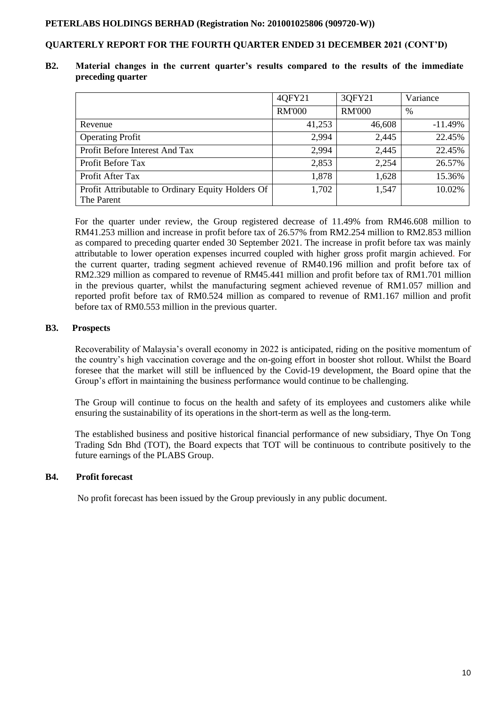# **QUARTERLY REPORT FOR THE FOURTH QUARTER ENDED 31 DECEMBER 2021 (CONT'D)**

### **B2. Material changes in the current quarter's results compared to the results of the immediate preceding quarter**

|                                                                 | 4QFY21        | 3QFY21        | Variance   |
|-----------------------------------------------------------------|---------------|---------------|------------|
|                                                                 | <b>RM'000</b> | <b>RM'000</b> | %          |
| Revenue                                                         | 41,253        | 46,608        | $-11.49\%$ |
| <b>Operating Profit</b>                                         | 2,994         | 2,445         | 22.45%     |
| Profit Before Interest And Tax                                  | 2,994         | 2,445         | 22.45%     |
| Profit Before Tax                                               | 2,853         | 2,254         | 26.57%     |
| Profit After Tax                                                | 1,878         | 1,628         | 15.36%     |
| Profit Attributable to Ordinary Equity Holders Of<br>The Parent | 1,702         | 1,547         | 10.02%     |

For the quarter under review, the Group registered decrease of 11.49% from RM46.608 million to RM41.253 million and increase in profit before tax of 26.57% from RM2.254 million to RM2.853 million as compared to preceding quarter ended 30 September 2021. The increase in profit before tax was mainly attributable to lower operation expenses incurred coupled with higher gross profit margin achieved. For the current quarter, trading segment achieved revenue of RM40.196 million and profit before tax of RM2.329 million as compared to revenue of RM45.441 million and profit before tax of RM1.701 million in the previous quarter, whilst the manufacturing segment achieved revenue of RM1.057 million and reported profit before tax of RM0.524 million as compared to revenue of RM1.167 million and profit before tax of RM0.553 million in the previous quarter.

# **B3. Prospects**

Recoverability of Malaysia's overall economy in 2022 is anticipated, riding on the positive momentum of the country's high vaccination coverage and the on-going effort in booster shot rollout. Whilst the Board foresee that the market will still be influenced by the Covid-19 development, the Board opine that the Group's effort in maintaining the business performance would continue to be challenging.

The Group will continue to focus on the health and safety of its employees and customers alike while ensuring the sustainability of its operations in the short-term as well as the long-term.

The established business and positive historical financial performance of new subsidiary, Thye On Tong Trading Sdn Bhd (TOT), the Board expects that TOT will be continuous to contribute positively to the future earnings of the PLABS Group.

### **B4. Profit forecast**

No profit forecast has been issued by the Group previously in any public document.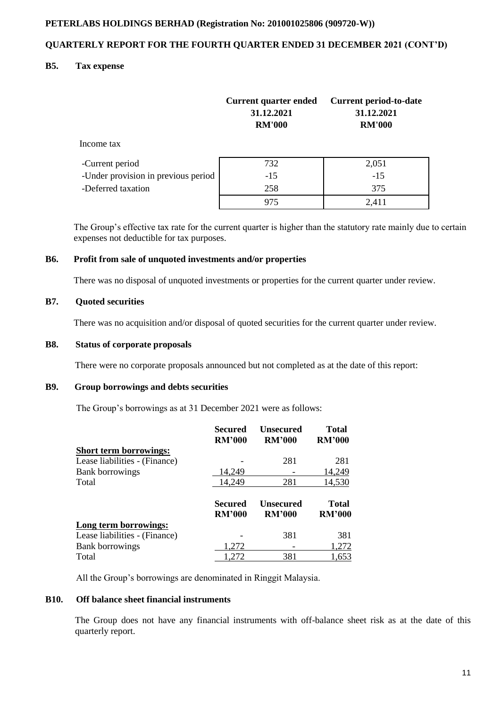# **QUARTERLY REPORT FOR THE FOURTH QUARTER ENDED 31 DECEMBER 2021 (CONT'D)**

### **B5. Tax expense**

|                                     | <b>Current quarter ended</b><br>31.12.2021<br><b>RM'000</b> | Current period-to-date<br>31.12.2021<br><b>RM'000</b> |
|-------------------------------------|-------------------------------------------------------------|-------------------------------------------------------|
| Income tax                          |                                                             |                                                       |
| -Current period                     | 732                                                         | 2,051                                                 |
| -Under provision in previous period | $-15$                                                       | $-15$                                                 |
| -Deferred taxation                  | 258                                                         | 375                                                   |
|                                     | 975                                                         | 2,411                                                 |

 The Group's effective tax rate for the current quarter is higher than the statutory rate mainly due to certain expenses not deductible for tax purposes.

### **B6. Profit from sale of unquoted investments and/or properties**

There was no disposal of unquoted investments or properties for the current quarter under review.

# **B7. Quoted securities**

There was no acquisition and/or disposal of quoted securities for the current quarter under review.

# **B8. Status of corporate proposals**

There were no corporate proposals announced but not completed as at the date of this report:

### **B9. Group borrowings and debts securities**

The Group's borrowings as at 31 December 2021 were as follows:

|                               | Secured<br><b>RM'000</b> | <b>Unsecured</b><br><b>RM'000</b> | <b>Total</b><br><b>RM'000</b> |
|-------------------------------|--------------------------|-----------------------------------|-------------------------------|
| <b>Short term borrowings:</b> |                          |                                   |                               |
| Lease liabilities - (Finance) |                          | 281                               | 281                           |
| <b>Bank borrowings</b>        | 14,249                   |                                   | 14,249                        |
| Total                         | 14,249                   | 281                               | 14,530                        |
|                               | Secured                  | Unsecured                         | Total                         |
|                               | <b>RM'000</b>            | <b>RM'000</b>                     | <b>RM'000</b>                 |
| Long term borrowings:         |                          |                                   |                               |
| Lease liabilities - (Finance) |                          | 381                               | 381                           |
| <b>Bank borrowings</b>        | 1.272                    |                                   | 1,272                         |

All the Group's borrowings are denominated in Ringgit Malaysia.

## **B10. Off balance sheet financial instruments**

The Group does not have any financial instruments with off-balance sheet risk as at the date of this quarterly report.